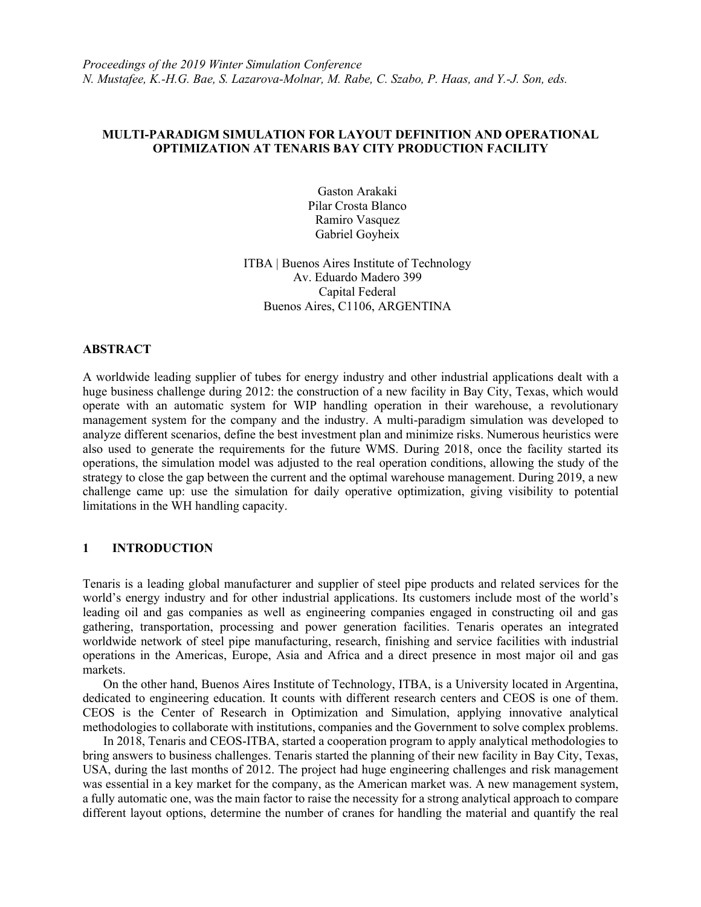# **MULTI-PARADIGM SIMULATION FOR LAYOUT DEFINITION AND OPERATIONAL OPTIMIZATION AT TENARIS BAY CITY PRODUCTION FACILITY**

Gaston Arakaki Pilar Crosta Blanco Ramiro Vasquez Gabriel Goyheix

ITBA | Buenos Aires Institute of Technology Av. Eduardo Madero 399 Capital Federal Buenos Aires, C1106, ARGENTINA

### **ABSTRACT**

A worldwide leading supplier of tubes for energy industry and other industrial applications dealt with a huge business challenge during 2012: the construction of a new facility in Bay City, Texas, which would operate with an automatic system for WIP handling operation in their warehouse, a revolutionary management system for the company and the industry. A multi-paradigm simulation was developed to analyze different scenarios, define the best investment plan and minimize risks. Numerous heuristics were also used to generate the requirements for the future WMS. During 2018, once the facility started its operations, the simulation model was adjusted to the real operation conditions, allowing the study of the strategy to close the gap between the current and the optimal warehouse management. During 2019, a new challenge came up: use the simulation for daily operative optimization, giving visibility to potential limitations in the WH handling capacity.

# **1 INTRODUCTION**

Tenaris is a leading global manufacturer and supplier of steel pipe products and related services for the world's energy industry and for other industrial applications. Its customers include most of the world's leading oil and gas companies as well as engineering companies engaged in constructing oil and gas gathering, transportation, processing and power generation facilities. Tenaris operates an integrated worldwide network of steel pipe manufacturing, research, finishing and service facilities with industrial operations in the Americas, Europe, Asia and Africa and a direct presence in most major oil and gas markets.

On the other hand, Buenos Aires Institute of Technology, ITBA, is a University located in Argentina, dedicated to engineering education. It counts with different research centers and CEOS is one of them. CEOS is the Center of Research in Optimization and Simulation, applying innovative analytical methodologies to collaborate with institutions, companies and the Government to solve complex problems.

In 2018, Tenaris and CEOS-ITBA, started a cooperation program to apply analytical methodologies to bring answers to business challenges. Tenaris started the planning of their new facility in Bay City, Texas, USA, during the last months of 2012. The project had huge engineering challenges and risk management was essential in a key market for the company, as the American market was. A new management system, a fully automatic one, was the main factor to raise the necessity for a strong analytical approach to compare different layout options, determine the number of cranes for handling the material and quantify the real